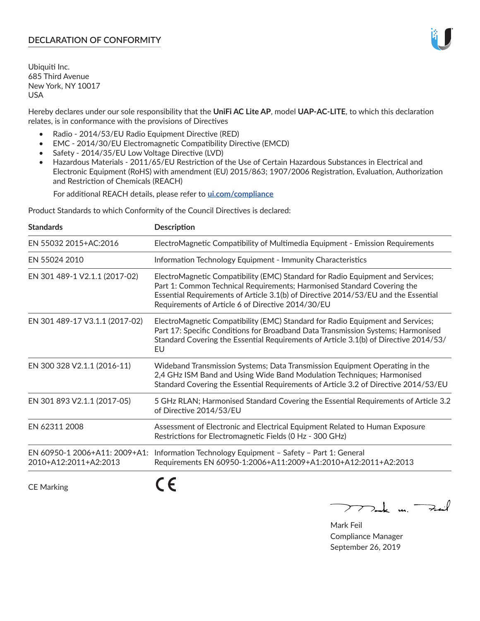# **DECLARATION OF CONFORMITY**

Ubiquiti Inc. 685 Third Avenue New York, NY 10017 USA

Hereby declares under our sole responsibility that the **UniFi AC Lite AP**, model **UAP-AC-LITE**, to which this declaration relates, is in conformance with the provisions of Directives

- Radio 2014/53/EU Radio Equipment Directive (RED)
- EMC 2014/30/EU Electromagnetic Compatibility Directive (EMCD)
- Safety 2014/35/EU Low Voltage Directive (LVD)
- Hazardous Materials 2011/65/EU Restriction of the Use of Certain Hazardous Substances in Electrical and Electronic Equipment (RoHS) with amendment (EU) 2015/863; 1907/2006 Registration, Evaluation, Authorization and Restriction of Chemicals (REACH)

For additional REACH details, please refer to **[ui.com/compliance](https://dl.ui.com/compliance/REACH_Compliance_Declaration.pdf)**

Product Standards to which Conformity of the Council Directives is declared:

| <b>Standards</b>                                       | <b>Description</b>                                                                                                                                                                                                                                                                                   |
|--------------------------------------------------------|------------------------------------------------------------------------------------------------------------------------------------------------------------------------------------------------------------------------------------------------------------------------------------------------------|
| EN 55032 2015+AC:2016                                  | ElectroMagnetic Compatibility of Multimedia Equipment - Emission Requirements                                                                                                                                                                                                                        |
| EN 55024 2010                                          | Information Technology Equipment - Immunity Characteristics                                                                                                                                                                                                                                          |
| EN 301 489-1 V2.1.1 (2017-02)                          | ElectroMagnetic Compatibility (EMC) Standard for Radio Equipment and Services;<br>Part 1: Common Technical Requirements; Harmonised Standard Covering the<br>Essential Requirements of Article 3.1(b) of Directive 2014/53/EU and the Essential<br>Requirements of Article 6 of Directive 2014/30/EU |
| EN 301 489-17 V3.1.1 (2017-02)                         | ElectroMagnetic Compatibility (EMC) Standard for Radio Equipment and Services;<br>Part 17: Specific Conditions for Broadband Data Transmission Systems; Harmonised<br>Standard Covering the Essential Requirements of Article 3.1(b) of Directive 2014/53/<br>EU                                     |
| EN 300 328 V2.1.1 (2016-11)                            | Wideband Transmission Systems; Data Transmission Equipment Operating in the<br>2,4 GHz ISM Band and Using Wide Band Modulation Techniques; Harmonised<br>Standard Covering the Essential Requirements of Article 3.2 of Directive 2014/53/EU                                                         |
| EN 301 893 V2.1.1 (2017-05)                            | 5 GHz RLAN; Harmonised Standard Covering the Essential Requirements of Article 3.2<br>of Directive 2014/53/EU                                                                                                                                                                                        |
| EN 62311 2008                                          | Assessment of Electronic and Electrical Equipment Related to Human Exposure<br>Restrictions for Electromagnetic Fields (0 Hz - 300 GHz)                                                                                                                                                              |
| EN 60950-1 2006+A11: 2009+A1:<br>2010+A12:2011+A2:2013 | Information Technology Equipment - Safety - Part 1: General<br>Requirements EN 60950-1:2006+A11:2009+A1:2010+A12:2011+A2:2013                                                                                                                                                                        |
|                                                        |                                                                                                                                                                                                                                                                                                      |

CE Marking

C C

mak m. Fuil

Mark Feil Compliance Manager September 26, 2019

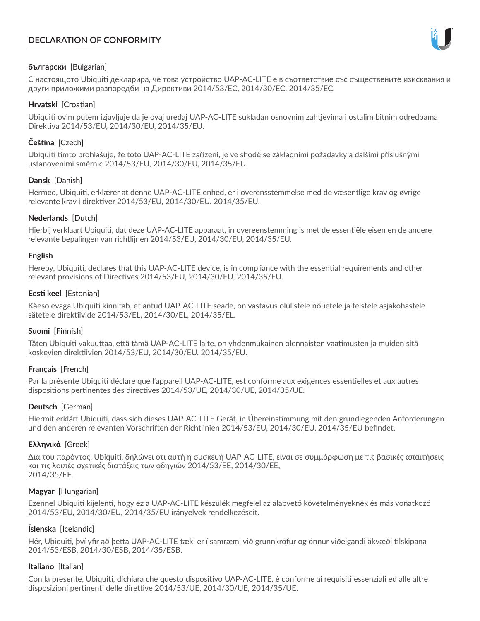# **DECLARATION OF CONFORMITY**



# **български** [Bulgarian]

С настоящото Ubiquiti декларира, че това устройство UAP-AC-LITE е в съответствие със съществените изисквания и други приложими разпоредби на Директиви 2014/53/EC, 2014/30/ЕС, 2014/35/ЕС.

## **Hrvatski** [Croatian]

Ubiquiti ovim putem izjavljuje da je ovaj uređaj UAP-AC-LITE sukladan osnovnim zahtjevima i ostalim bitnim odredbama Direktiva 2014/53/EU, 2014/30/EU, 2014/35/EU.

# **Čeština** [Czech]

Ubiquiti tímto prohlašuje, že toto UAP-AC-LITE zařízení, je ve shodě se základními požadavky a dalšími příslušnými ustanoveními směrnic 2014/53/EU, 2014/30/EU, 2014/35/EU.

# **Dansk** [Danish]

Hermed, Ubiquiti, erklærer at denne UAP-AC-LITE enhed, er i overensstemmelse med de væsentlige krav og øvrige relevante krav i direktiver 2014/53/EU, 2014/30/EU, 2014/35/EU.

# **Nederlands** [Dutch]

Hierbij verklaart Ubiquiti, dat deze UAP-AC-LITE apparaat, in overeenstemming is met de essentiële eisen en de andere relevante bepalingen van richtlijnen 2014/53/EU, 2014/30/EU, 2014/35/EU.

## **English**

Hereby, Ubiquiti, declares that this UAP-AC-LITE device, is in compliance with the essential requirements and other relevant provisions of Directives 2014/53/EU, 2014/30/EU, 2014/35/EU.

# **Eesti keel** [Estonian]

Käesolevaga Ubiquiti kinnitab, et antud UAP-AC-LITE seade, on vastavus olulistele nõuetele ja teistele asjakohastele sätetele direktiivide 2014/53/EL, 2014/30/EL, 2014/35/EL.

## **Suomi** [Finnish]

Täten Ubiquiti vakuuttaa, että tämä UAP-AC-LITE laite, on yhdenmukainen olennaisten vaatimusten ja muiden sitä koskevien direktiivien 2014/53/EU, 2014/30/EU, 2014/35/EU.

## **Français** [French]

Par la présente Ubiquiti déclare que l'appareil UAP-AC-LITE, est conforme aux exigences essentielles et aux autres dispositions pertinentes des directives 2014/53/UE, 2014/30/UE, 2014/35/UE.

## **Deutsch** [German]

Hiermit erklärt Ubiquiti, dass sich dieses UAP-AC-LITE Gerät, in Übereinstimmung mit den grundlegenden Anforderungen und den anderen relevanten Vorschriften der Richtlinien 2014/53/EU, 2014/30/EU, 2014/35/EU befindet.

## **Ελληνικά** [Greek]

Δια του παρόντος, Ubiquiti, δηλώνει ότι αυτή η συσκευή UAP-AC-LITE, είναι σε συμμόρφωση με τις βασικές απαιτήσεις και τις λοιπές σχετικές διατάξεις των οδηγιών 2014/53/EE, 2014/30/EE, 2014/35/EE.

## **Magyar** [Hungarian]

Ezennel Ubiquiti kijelenti, hogy ez a UAP-AC-LITE készülék megfelel az alapvető követelményeknek és más vonatkozó 2014/53/EU, 2014/30/EU, 2014/35/EU irányelvek rendelkezéseit.

## **Íslenska** [Icelandic]

Hér, Ubiquiti, því yfir að þetta UAP-AC-LITE tæki er í samræmi við grunnkröfur og önnur viðeigandi ákvæði tilskipana 2014/53/ESB, 2014/30/ESB, 2014/35/ESB.

## **Italiano** [Italian]

Con la presente, Ubiquiti, dichiara che questo dispositivo UAP-AC-LITE, è conforme ai requisiti essenziali ed alle altre disposizioni pertinenti delle direttive 2014/53/UE, 2014/30/UE, 2014/35/UE.